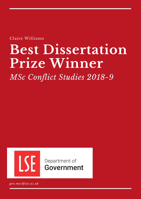Claire Williams

# **Best Dissertation Prize Winner**

*MSc Conflict Studies 2018-9*



Department of **Government** 

*gov.msc@lse.ac.uk*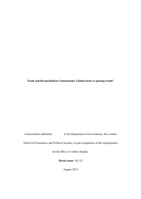**Truth and Reconciliation Commissions: Global norm or passing trend?**

A dissertation submitted to the Department of Government, the London

School of Economics and Political Science, in part completion of the requirements

for the MSc in Conflict Studies.

**Word count:** 10,132

August 2019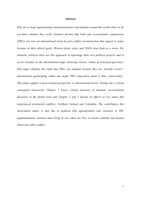### <span id="page-2-0"></span>**Abstract**

*Why do we keep implementing transitional justice mechanisms around the world when we do not know whether they work? Scholars declare that truth and reconciliation commissions (TRCs) are now an international norm in post-conflict reconstruction that appeal to states because of their ethical goals. Western donor states and NGOs treat them as a norm. Yet, domestic political elites use this approach to repackage their own political projects and to access benefits on the international stage, silencing citizens' claims of structural grievance. This paper disputes the claim that TRCs are adopted because they are 'morally correct'. International gatekeeping rather, has made TRCs imperative under a false 'universality'. This paper applies a post-colonial perspective to international norms. Setting out a critical conceptual framework, Chapter 1 traces critical junctures in thematic reconciliation discourse at the global level and Chapter 2 and 3 discuss its effects on two states that experienced protracted conflicts: Northern Ireland and Colombia. The contribution this dissertation makes is that due to political elite appropriation and variation in TRC implementation, scholars must bring in new ideas for how to ensure stability and deepen democracy after conflict.*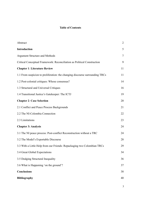# **Table of Contents**

| Abstract                                                                     | $\overline{2}$ |
|------------------------------------------------------------------------------|----------------|
| Introduction                                                                 | 5              |
| <b>Argument Structure and Methods</b>                                        | $\tau$         |
| Critical Conceptual Framework: Reconciliation as Political Construction      | 9              |
| <b>Chapter 1: Literature Review</b>                                          | 11             |
| 1.1 From suspicion to proliferation: the changing discourse surrounding TRCs | 11             |
| 1.2 Post-colonial critiques: Whose consensus?                                | 14             |
| 1.3 Structural and Universal Critiques                                       | 16             |
| 1.4 Transitional Justice's Gatekeeper: The ICTJ                              | 19             |
| <b>Chapter 2: Case Selection</b>                                             | 20             |
| 2.1 Conflict and Peace Process Backgrounds                                   | 21             |
| 2.2 The NI-Colombia Connection                                               | 22             |
| 2.3 Limitations                                                              | 23             |
| <b>Chapter 3: Analysis</b>                                                   | 24             |
| 3.1 The NI peace process: Post-conflict Reconstruction without a TRC         | 24             |
| 3.2 The Model's Exportable Discourse                                         | 28             |
| 3.3 With a Little Help from our Friends: Repackaging two Colombian TRCs      | 29             |
| 3.4 Great Global Expectations                                                | 34             |
| 3.5 Dodging Structural Inequality                                            | 36             |
| 3.6 What is Happening 'on the ground'?                                       | 37             |
| <b>Conclusions</b>                                                           | 38             |
| <b>Bibliography</b>                                                          | 40             |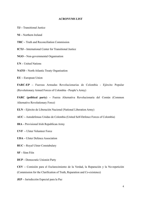### **ACRONYMS LIST**

**TJ –** Transitional Justice

**NI –** Northern Ireland

**TRC –** Truth and Reconciliation Commission

**ICTJ –** International Center for Transitional Justice

**NGO –** Non-governmental Organisation

**UN –** United Nations

**NATO –** North Atlantic Treaty Organisation

**EU –** European Union

**FARC-EP –** Fuerzas Armadas Revolucionarias de Colombia - Ejército Popular (Revolutionary Armed Forces of Colombia - People's Army)

**FARC (political party) –** Fuerza Alternativa Revolucionaria del Común (Common Alternative Revolutionary Force)

**ELN –** Ejército de Liberación Nacional (National Liberation Army)

**AUC –** Autodefensas Unidas de Colombia (United Self-Defence Forces of Colombia)

**IRA –** Provisional Irish Republican Army

**UVF –** Ulster Volunteer Force

**UDA –** Ulster Defence Association

**RUC –** Royal Ulster Constabulary

**SF –** Sinn Féin

**DUP –** Democratic Unionist Party

**CEV –** Comisión para el Esclarecimiento de la Verdad, la Reparación y la No-repetición (Commission for the Clarification of Truth, Reparation and Co-existence)

**JEP –** Jurisdicción Especial para la Paz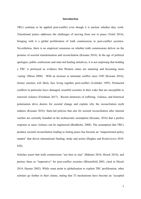# <span id="page-5-0"></span>**Introduction**

TRCs continue to be applied post-conflict even though it is unclear whether they work. Transitional justice addresses the challenges of moving from war to peace (Teitel 2014), bringing with it a global proliferation of truth commissions to post-conflict societies. Nevertheless, there is no empirical consensus on whether truth commissions deliver on the promise of societal transformation and reconciliation (Kissane 2016). In the age of political apologies, public confessions and state-led healing initiatives, it is not surprising that holding a TRC is portrayed as evidence that Western states are maturing and becoming more 'caring' (Moon 2008). With an increase in intrastate conflict since 1945 (Kissane 2016), former enemies will likely face living together post-conflict (Licklider 1995). Protracted conflicts in particular leave damaged, resentful societies in their wake that are susceptible to renewed violence (Friedman 2017). Recent memories of suffering, violence, and historical polarisation drive desires for societal change and explain why the reconciliation myth endures (Kissane 2016). State-led policies that aim for societal reconciliation after internal warfare are currently founded on the technocratic assumption (Kissane, 2016) that a perfect response to mass violence can be engineered (Brudholm, 2008). The assumption that TRCs produce societal reconciliation leading to lasting peace has become an "unquestioned policy mantra" that drives international funding, study and action (Hughes and Kostovicova 2018: 620).

Scholars assert that truth commissions "are here to stay" (Bakiner 2016; Hirsch 2014), and portray them as "imperative" for post-conflict societies (Bloomfield 2003, cited in Hirsch 2014; Hayner 2002). While some point to globalisation to explain TRC proliferation, other scholars go further in their claims, stating that TJ mechanisms have become an "accepted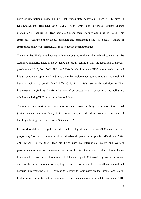norm of international peace-making" that guides state behaviour (Sharp 2013b, cited in Kostovicova and Bicquelet 2018: 281). Hirsch (2014: 825) offers a "content change proposition": Changes to TRCs post-2000 made them morally appealing to states. This apparently facilitated their global diffusion and permanent place "as a new standard of appropriate behaviour" (Hirsch 2014: 814) in post-conflict practice.

The claim that TRCs have become an international norm due to their ethical content must be examined critically. There is no evidence that truth-seeking avoids the repetition of atrocity (see Kissane 2016; Daly 2008; Bakiner 2016). In addition, many TRC recommendations and initiatives remain aspirational and have yet to be implemented, giving scholars "no empirical basis on which to build" (McAuliffe 2015: 71). With so much variation in TRC implementation (Bakiner 2016) and a lack of conceptual clarity concerning reconciliation, scholars declaring TRCs a 'norm' raises red flags.

The overarching question my dissertation seeks to answer is: Why are universal transitional justice mechanisms, specifically truth commissions, considered an essential component of building a lasting peace in post-conflict societies?

In this dissertation, I dispute the idea that TRC proliferation since 2000 means we are progressing "towards a more ethical or value-based" post-conflict practice (Björkdahl 2002: 22). Rather, I argue that TRCs are being used by international actors and Western governments to push non-universal conceptions of justice that are not evidence-based. I seek to demonstrate how new, international TRC discourse post-2000 exerts a powerful influence on domestic policy rationale for adopting TRCs. This is not due to TRCs' ethical content, but because implementing a TRC represents a route to legitimacy on the international stage. Furthermore, domestic actors' implement this mechanism and emulate dominant TRC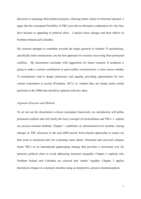discourse to repackage their political projects, silencing future claims of structural injustice. I argue that the conceptual flexibility of TRCs provide an alternative explanation for why they have become so appealing to political elites. I analyse these changes and their effects on Northern Ireland and Colombia.

My research attempts to contribute towards the larger question of whether TJ mechanisms, specifically truth commissions, are the best approach for societies recovering from protracted conflicts. My dissertation concludes with suggestions for future research. If academia is going to make a serious contribution to post-conflict reconstruction, it must assess whether TJ mechanisms lead to deeper democracy and equality, providing opportunities for nonviolent contestation in society (Friedman, 2017), or, whether they are simply policy trends particular to the 2000s that should be replaced with new ideas.

### <span id="page-7-0"></span>*Argument Structure and Methods*

To set out out the dissertation's critical conceptual framework, my introduction will define protracted conflicts and will clarify the fuzzy concepts of reconciliation and TRCs. I explain my process-oriented methods. Chapter 1 establishes an international-level timeline, tracing changes in TRC discourse in the post-2000 period. Post-colonial approaches to norms are then used as analytical tools for evaluating norm claims. Structural and universal critiques frame TRCs as an international gatekeeping strategy that provides a convenient way for domestic political elites to avoid addressing structural inequality. Chapter 2 explains why Northern Ireland and Colombia are selected and 'matter' together. Chapter 3 applies theoretical critiques to a domestic timeline using an interpretive, process-oriented analysis.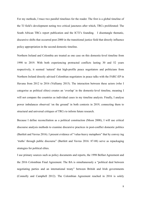For my methods, I trace two parallel timelines for the reader. The first is a global timeline of the TJ field's development noting two critical junctures after which, TRCs proliferated: The South African TRCs report publication and the ICTJ's founding. I disentangle thematic, discursive shifts that occurred post-2000 in the transitional justice field that directly influence policy appropriation in the second domestic timeline.

Northern Ireland and Colombia are treated as one case on this domestic-level timeline from 1998 to 2019. With both experiencing protracted conflicts lasting 30 and 52 years respectively, it seemed 'natural' that high-profile peace negotiators and politicians from Northern Ireland directly advised Colombian negotiators in peace talks with the FARC-EP in Havana from 2012 to 2016 [\(Vulliamy](https://www.theguardian.com/profile/edvulliamy) 2015). The interaction between these actors (who I categorise as political elites) creates an 'overlap' in the domestic-level timeline, meaning I will not compare the countries as individual cases in my timeline analysis. Finally, I analyse power imbalances observed 'on the ground' in both contexts in 2019, connecting them to structural and universal critiques of TRCs to inform future research.

Because I define reconciliation as a political construction (Moon 2008), I will use critical discourse analysis methods to examine discursive practices in post-conflict domestic politics (Bartlett and Vavrus 2016). I present evidence of "value-heavy metaphors" that by convey ing 'truths' through public discourse" (Bartlett and Vavrus 2016: 87-88) serve as repackaging strategies for political elites.

I use primary sources such as policy documents and reports, the 1998 Belfast Agreement and the 2016 Colombian Final Agreement. The BA is simultaneously a "political deal between negotiating parties and an international treaty" between British and Irish governments (Connolly and Campbell 2012). The Colombian Agreement reached in 2016 is solely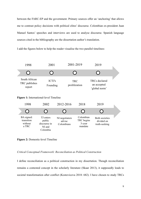between the FARC-EP and the government. Primary sources offer an 'anchoring' that allows me to contrast policy decisions with political elites' discourse. Colombian ex-president Juan Manuel Santos' speeches and interviews are used to analyse discourse. Spanish language sources cited in the bibliography are the dissertation author's translation.

I add the figures below to help the reader visualise the two parallel timelines:



**Figure 1:** International-level Timeline

| 1998                                         | 2002                                                      | 2012-2016                              | 2018                                         | 2019                                                 |  |
|----------------------------------------------|-----------------------------------------------------------|----------------------------------------|----------------------------------------------|------------------------------------------------------|--|
|                                              |                                                           |                                        |                                              |                                                      |  |
| BA signed:<br>transition<br>without<br>a TRC | TJ enters<br>public<br>discourse in<br>NI and<br>Colombia | NI negotiators<br>advise<br>Colombians | Colombian<br>TRC begins<br>3-year<br>mandate | <b>Both societies</b><br>divided on<br>truth-seeking |  |

# **Figure 2:** Domestic-level Timeline

<span id="page-9-0"></span>*Critical Conceptual Framework: Reconciliation as Political Construction* 

I define reconciliation as a political construction in my dissertation. Though reconciliation remains a contested concept in the scholarly literature (Skaar 2013), it supposedly leads to societal transformation after conflict (Kostovicova 2018: 682). I have chosen to study TRCs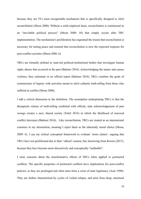because they are TJ's most recognisable mechanism that is specifically designed to elicit reconciliation (Moon 2008). Without a solid empirical basis, reconciliation is constructed as an "inevitable political process" (Moon 2008: 10) that simply occurs after TRC implementation. The mechanism's proliferation has engrained the truism that reconciliation is necessary for lasting peace and ensured that reconciliation is now the expected response for post-conflict societies (Moon 2008: 6).

TRCs are formally defined as state-led political-institutional bodies that investigate human rights abuses that occurred in the past (Bakiner 2016). Acknowledging the nature and causes violence, they culminate in an official report (Bakiner 2016). TRCs combine the goals of commissions of inquiry with activities meant to elicit cathartic truth-telling from those who suffered in conflict (Moon 2008).

I add a critical dimension to the definition. The assumption underpinning TRCs is that the therapeutic release of truth-telling combined with official, state acknowledgement of past wrongs creates a new, shared society (Teitel 2014) in which the likelihood of renewed conflict decreases (Bakiner 2016). Like reconciliation, TRCs are treated as an international construct in my dissertation, meaning I reject them as the inherently moral choice (Moon, 2009: 6). I use my critical conceptual framework to evaluate 'norm claims', arguing that TRCs have not proliferated due to their 'ethical' content, but, borrowing from Rowen (2017), because they have become more discursively and conceptually "malleable".

I raise concerns about the transformative effects of TRCs when applied to protracted conflicts. The specific properties of protracted conflicts have implications for post-conflict policies, as they are prolonged and often stem from a crisis of state legitimacy (Azar 1990). They are further characterised by cycles of violent relapse, and arise from deep, structural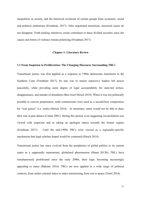inequalities in society, and the historical exclusion of certain groups from economic, social and political institutions (Friedman, 2017). After negotiated transitions, structural issues do not disappear. Truth-seeking initiatives create contention in these divided societies since the causes and forms of violence remain polarising (Friedman 2017).

# <span id="page-11-0"></span>**Chapter 1: Literature Review**

### <span id="page-11-1"></span>**1.1 From Suspicion to Proliferation: The Changing Discourse Surrounding TRCs**

Transitional justice was first applied as a response to 1980s democratic transitions in the Southern Cone (Friedman 2017). Its aim was to ensure repressive leaders left power peacefully, while providing some degree of legal accountability for state-led torture, disappearance, and murder of dissidents (Ben-Josef Hirsch 2014). When it was not politically possible to convict perpetrators, truth commissions were used as a second-best compromise for "real justice" (i.e. trials) (Hirsch 2014). At minimum, states would not be able to deny their role in past abuses (Cohen 2001). During this period, even suggesting reconciliation was viewed with suspicion and as taking an apologist stance towards the former regime (Friedman 2017). Until the mid-1990s TRCs were viewed as a regionally-specific mechanism that legal scholars hoped would be contained (Hirsch 2014).

Transitional justice has since evolved from the peripheries of global politics to its current status as a supposedly mainstream, globalised phenomenon (Sharp 2013b). TRCs have simultaneously proliferated since the early 2000s, their logic becoming increasingly appealing to states (Bakiner 2016). TRCs are now applied to a wide range of political contexts, from settler colonial states to states transitioning from war to peace (Teitel 2014).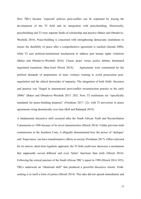How TRCs became 'expected' policies post-conflict can be explained by tracing the development of the TJ field and its integration with peacebuilding. Historically, peacebuilding and TJ were separate fields of scholarship and practice (Baker and Obradovic-Wochnik 2016). Peace-building is concerned with strengthening democratic institutions to ensure the durability of peace after a comprehensive agreement is reached (Jarstad 2008), while TJ uses political-institutional mechanisms to address past human rights violations (Baker and Obradovic-Wochnik 2016). Classic peace versus justice debates dominated negotiated transitions (Ben-Josef Hirsch 2014). Agreements were constrained by the political demands of perpetrators of mass violence wanting to avoid prosecution postnegotiation and the ethical downsides of impunity. The integration of both fields' discourse and practice was "forged in international post-conflict reconstruction practice in the early 2000s" (Baker and Obradovic-Wochnik 2013: 282). Now, TJ institutions are "specifically mandated for peace-building purposes" (Friedman 2017: 22), with TJ provisions in peace agreements rising dramatically over time (Bell and Badanjak 2019).

A fundamental discursive shift occurred after the South African Truth and Reconciliation Commission in 1996 because of its novel characteristics (Hirsch 2014). Unlike previous truth commissions in the Southern Cone, it allegedly demonstrated how the power of 'dialogue' and 'forgiveness' can have transformative effects in society (Friedman 2017). Often criticised for its narrow, short-term legalistic approach, the TJ field could now showcase a mechanism that supposedly served different and even 'better' functions than trials (Hirsch 2014). Following the critical juncture of the South African TRC's report in 1998 (Hirsch 2014: 825), TRCs underwent an "ideational shift" that produced a powerful discursive truism: Truthseeking is in itself a form of justice (Hirsch 2014). This idea did not spread immediately and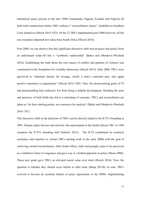transitional peace process in the late 1990s (Guatemala, Nigeria, Ecuador and Nigeria) all held truth commissions before 2001 without a "reconciliation clause", modelled on Southern Cone initiatives (Hirsch 2014: 823). Of the 32 TRCs implemented post-2000 however, all but one exception imported new ideas from South Africa (Hirsch 2014).

Post-2000, we can observe that this significant discursive shift moved peace and justice from an unfortunate trade-off into a "symbiotic relationship" (Baker and Obradovic-Wochnik 2016). Establishing the truth about the root causes of conflict and patterns of violence was constructed as the foundation for a healthy democracy (Hirsch 2014). After 2000, TRCs were perceived to "eliminate desires for revenge, clarify a state's contested past, and signal positive intentions in negotiations" (Hirsch 2014: 820). Thus, the democratising goals of TJ and peacebuilding had coalesced. Far from being a helpful development, blending the aims and practices of both fields has led to a stretching of concepts. TRCs and reconciliation are taken as "de facto starting points, not constructs for analysis" (Baker and Obradovic-Wochnik 2016: 291).

This discursive shift in the functions of TRCs can be directly linked to the ICTJ's founding in 2001. Human rights lawyers and activists who participated in the South African TRC in 1996 comprise the ICTJ's founding staff (Subotić 2012). The ICTJ contributed its technical assistance and expertise to various TRCs starting work in the early 2000s with the goal of achieving societal reconciliation. After South Africa, trials increasingly came to be perceived as a retributive form of vengeance and gave way to a hybrid approach in policy (Moon 2008). These new goals gave TRCs an elevated moral value over trials (Hirsch 2014). Now, the question is whether they should occur before or after trials (Sharp 2013b). In sum, TRCs evolved to become an essential feature of peace agreements in the 2000s. Implementing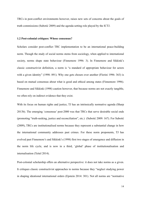TRCs in post-conflict environments however, raises new sets of concerns about the goals of truth commissions (Subotić 2009) and the agenda-setting role played by the ICTJ.

### <span id="page-14-0"></span>**1.2 Post-colonial critiques: Whose consensus?**

Scholars consider post-conflict TRC implementation to be an international peace-building norm. Though the study of social norms stems from sociology, when applied to international society, norms shape state behaviour (Finnemore 1996: 3). In Finnemore and Sikkink's classic constructivist definition, a norm is "a standard of appropriate behaviour for actors with a given identity" (1998: 891). Why one gets chosen over another (Florini 1996: 363) is based on mutual consensus about what is good and ethical among states (Finnemore 1996). Finnemore and Sikkink (1998) caution however, that because norms are not exactly tangible, we often rely on indirect evidence that they exist.

With its focus on human rights and justice, TJ has an intrinsically normative agenda (Sharp 2013b). The emerging 'consensus' post-2000 was that TRCs that serve desirable social ends (promoting "truth-seeking, justice and reconciliation", etc.) (Subotić 2009: 167). For Subotić (2009), TRCs are institutionalised norms because they represent a substantial change in how the international community addresses past crimes. For these norm proponents, TJ has evolved past Finnemore's and Sikkink's (1998) first two stages of emergence and diffusion in the norm life cycle, and is now in a third, 'global' phase of institutionalisation and internalisation (Teitel 2014).

Post-colonial scholarship offers an alternative perspective: it does not take norms as a given. It critiques classic constructivist approaches to norms because they "neglect studying power in shaping ideational international orders (Epstein 2014: 301). Not all norms are "normative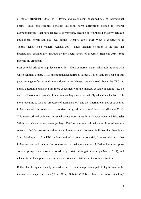or moral" (Björkdahl 2002: 14). Slavery and colonialism contained sets of international norms. Thus, postcolonial scholars question norm definitions rooted in "moral cosmopolitanism" that have tended to universalise, creating an "implicit dichotomy between good global norms and bad local norms" (Achaya 2004: 242). What is constructed as "global" tends to be Western (Achaya 2004). These scholars' rejection of the idea that international changes are "marked by the liberal arrow of progress" (Epstein 2014: 306) informs my argument.

Post-colonial critiques help deconstruct this 'TRCs as norms' claim. Although the ease with which scholars declare TRCs institutionalised norms is suspect, it is beyond the scope of this paper to engage further with international norm debates. As discussed above, the TRCs as norms question is unclear. I am more concerned with the interests at stake in calling TRCs a norm of international peacebuilding because they are an intrinsically ethical mechanism. It is more revealing to look at "processes of normalisation" and the international power structures influencing what is considered appropriate and good international behaviour (Epstein 2014). This opens critical pathways to reveal whose norm it really is (Kostovicova and Bicquelet 2018), and whose norms matter (Achaya 2004) on the international stage: those of Western states and NGOs. An examination of the domestic level, however, indicates that there is no 'one global approach' in TRC implementation but rather, a powerful, dominant discourse that influences domestic actors. In contrast to the mainstream norm diffusion literature, postcolonial perspectives allows us to ask why certain ideas gain currency (Rowen 2017), and what existing local power dynamics shape policy adaptation and instrumentalisation.

Rather than being an ethically-infused norm, TRCs now represent a path to legitimacy on the international stage for states (Teitel 2014). Subotić (2009) explains that 'norm hijacking'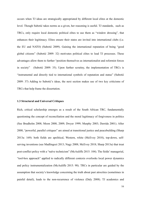occurs when TJ ideas are strategically appropriated by different local elites at the domestic level. Though Subotić takes norms as a given, her reasoning is useful. TJ standards, such as TRCs, only require local domestic political elites to use them as "window dressing", that enhances their legitimacy. Elites ensure their states are invited into international clubs (i.e. the EU and NATO) (Subotić 2009). Gaining the international reputation of being "good global citizens" (Subotić 2009: 32) motivates political elites to lead TJ processes. These advantages allow them to further "position themselves as internationalist and reformist forces in society" (Subotić 2009: 35). Upon further scrutiny, the implementation of TRCs is "instrumental and directly tied to international symbols of reputation and status" (Subotić 2009: 37) Adding to Subotić's ideas, the next section makes use of two key criticisms of TRCs that help frame the dissertation.

### <span id="page-16-0"></span>**1.3 Structural and Universal Critiques**

Rich, critical scholarship emerges as a result of the South African TRC, fundamentally questioning the concept of reconciliation and the moral legitimacy of forgiveness in politics (See Brudholm 2008; Moon 2008, 2009; Dwyer 1999; Murphy 2003; Derrida 2001). After 2000, "powerful, parallel critiques" are aimed at transitional justice and peacebuilding (Sharp 2013a: 169): both fields are apolitical, Western, white (McEvoy 2018), top-down, selfserving inventions (see Madlingozi 2013; Nagy 2008; McEvoy 2018; Sharp 2013a) that treat post-conflict policy with a "naïve technicism" (McAuliffe 2015: 104). The fields' managerial, "tool-box approach" applied to radically different contexts overlooks local power dynamics and policy instrumentalization (McAuliffe 2015: 98). TRCs in particular are guided by the assumption that society's knowledge concerning the truth about past atrocities (sometimes in painful detail), leads to the non-recurrence of violence (Daly 2008). TJ academics and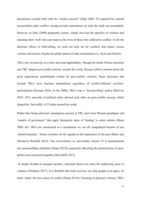practitioners ascribe truth with the "curative powers" (Daly 2008: 23) required for societal reconciliation after conflict, raising societal expectations on what the truth can accomplish. However, as Daly (2008) poignantly asserts, simply *knowing* the specifics of violence and repeating their 'truth' does not improve the lives of those who suffered in conflict. As for the deterrent effects of truth-telling, we need not look far for conflicts that repeat vicious violence and atrocity despite the global spread of truth commissions (i.e. Syria and Yemen).

TRCs rely too heavily on a false universal applicability. Though the South African transition and TRC shaped post-conflict practice around the world, Kissane (2016) cautions about the great expectations globalisation creates for post-conflict societies. Peace processes that include TRCs have become standardised regardless of conflict-affected societies' particularities (Kissane 2016). In the 2000s, TRCs were a "fast-travelling" policy (McEvoy 2018: 187): networks of political elites advised each other on post-conflict lessons, which shaped the 'fast traffic' of TJ ideas around the world.

Rather than being universal, assumptions present in TRC stem from Western paradigms and "models of governance" that apply therapeutic ideas of 'healing' to entire nations (Moon 2009: 85). TRCs are constructed as a mechanism we can all comprehend because of our 'shared humanity'. Donor countries set the agenda on the importance of the past (Baker and Obradovic-Wochnik 2016). This over-reliance on universality ensures TJ is mainstreamed into peacebuilding checklists (Sharp 2013b), purposely obscuring the particularities of postpolitics and structural inequality (McAuliffe 2015).

In deeply divided or unequal societies, structural factors are often the underlying cause of violence (Friedman 2017). It is doubtful that truth recovery can help people even agree, let alone 'settle' the root causes of conflict (Sharp 2013a). Focusing on physical violence, TRCs

17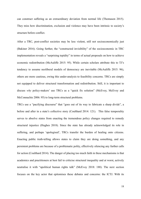can construct suffering as an extraordinary deviation from normal life (Thomason 2015). They miss how discrimination, exclusion and violence may have been intrinsic to society's structure before conflict.

After a TRC, post-conflict societies may be less violent, still not socioeconomically just (Bakiner 2016). Going further, the "constructed invisibility" of the socioeconomic in TRC implementation reveals a "surprising tepidity" in terms of actual proposals on how to achieve economic redistribution (McAuliffe 2015: 95). While certain scholars attribute this to TJ's tendency to assume neoliberal models of democracy are inevitable (McAuliffe 2015: 96), others are more cautious, owing this under-analysis to feasibility concerns. TRCs are simply not equipped to deliver structural transformation and redistribution. Still, it is important to discuss *why* policy-makers' use TRCs as a "quick fix solution" (McEvoy, McEvoy and McConnachie 2006: 95) to long-term structural problems.

TRCs use a "pacifying discourse" that "goes out of its way to fabricate a sharp divide", a before and after in a state's collective story (Coulthard 2014: 121). This false temporality serves to absolve states from enacting the tremendous policy changes required to remedy structural injustice (Hughes 2018). Since the state has already acknowledged its role in suffering, and perhaps 'apologised', TRCs transfer the burden of healing onto citizens. Enacting public truth-telling allows states to claim they are doing something, and any persistent problems are because of a problematic polity, effectively silencing any further calls for action (Coulthard 2014). The danger of placing too much faith in these mechanisms is that academics and practitioners at best fail to criticise structural inequality and at worst, actively neutralise it with "apolitical human rights talk" (McEvoy 2018: 188). The next section focuses on the key actor that epitomises these debates and concerns: the ICTJ. With its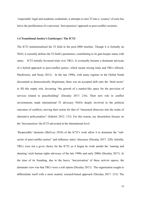'respectable' legal and academic credentials, it attempts to turn TJ into a 'science' of sorts has led to the proliferation of a universal, 'best practices' approach to post-conflict societies.

### <span id="page-19-0"></span>**1.4 Transitional Justice's Gatekeeper: The ICTJ**

The ICTJ institutionalised the TJ field in the post-2000 timeline. Though it is formally an NGO, it currently defines the TJ field's parameters, contributing to its gate-keeper status with states. ICTJ initially favoured trials over TRCs. It eventually became a dominant advocate of a hybrid approach to post-conflict justice, which meant mixing trials and TRCs (Hirsch, MacKenzie, and Sesay 2012). In the late 1990s, with many regimes in the Global South discounted as democratically illegitimate, there was an accepted shift onto the 'third sector' to fill this empty role, favouring "the growth of a market-like space for the provision of services related to peacebuilding" (Dezalay 2017: 216). Their new role in conflict environments made international TJ advocacy NGOs deeply involved in the political outcomes of conflicts, moving their action for that of "interested observers into the realm of alternative policymakers" (Subotić 2012: 123). For this reason, my dissertation focuses on the 'best practices' the ICTJ advocated at the international level.

'Respectable' elements (McEvoy 2018) of the ICTJ's work allow it to dominate the "subsector of post-conflict justice" and influence states' discourse (Dezalay 2017: 220). Initially, TRCs were not a go-to choice for the ICTJ, as it began its work amidst the 'naming and shaming'-style human rights advocacy of the late 1990s and early 2000s (Dezalay 2017). At the time of its founding, due to the heavy 'lawyerisation' of these activist spaces, the dominant view was that TRCs were a soft option (Dezalay 2017). The organisation sought to differentiate itself with a more neutral, research-based approach (Dezalay 2017: 215). The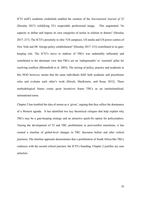ICTJ staff's academic credentials enabled the creation of the *International Journal of TJ* (Dezalay 2017) solidifying TJ's respectable professional image. This augmented "its capacity to define and impose its own categories of action in relation to donors" (Dezalay 2017: 217). The ICTJ's proximity to elite "US campuses, US media and US power centres of New York and DC foreign policy establishment" (Dezalay 2017: 213) contributed to its gatekeeping role. The ICTJ's move to endorse of TRCs was undeniably influential and contributed to the dominant view that TRCs are an 'indispensable' or 'essential' pillar for resolving conflicts (Bloomfield et al. 2003). The mixing of policy, practice and academia in this NGO however, means that the same individuals fulfil both academic and practitioner roles and evaluate each other's work (Hirsch, MacKenzie, and Sesay 2012). These methodological biases create great incentives frame TRCs as an institutionalised, international norm.

Chapter 2 has troubled the idea of norms as a 'given', arguing that they reflect the dominance of a Western agenda. It has identified two key theoretical critiques that help explain why TRCs may be a gate-keeping strategy and an attractive quick-fix option for policymakers. Tracing the development of TJ and TRC proliferation in post-conflict transitions, it has created a timeline of global-level changes in TRC discourse before and after critical junctures. The timeline approach demonstrates that a proliferation of South Africa-like TRCs coalesces with the second critical juncture: the ICTJ's founding. Chapter 2 justifies my case selection.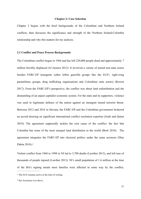### <span id="page-21-4"></span><span id="page-21-0"></span>**Chapter 2: Case Selection**

Chapter 2 begins with the brief backgrounds of the Colombian and Northern Ireland conflicts, then discusses the significance and strength of the Northern Ireland-Colombia relationship and why this matters for my analysis.

### <span id="page-21-1"></span>**2.1 Conflict and Peace Process Backgrounds**

The Colombian conflict began in 1964 and has left 220,000 people dead and approximately 7 million forcibly displaced (Al Jazeera 2013). It involved a variety of armed non-state actors besides FARC-EP insurgents (other leftist guerrilla groups like the  $ELN<sup>1</sup>$  $ELN<sup>1</sup>$  $ELN<sup>1</sup>$ [,](#page-21-2) right-wing paramilitary groups, drug trafficking organisations and Colombian state actors) (Rowen 2017). From the FARC-EP's perspective, the conflict was about land redistribution and the dismantling of an unjust capitalist economic system. For the state and its supporters, violence was used in legitimate defence of the nation against an insurgent turned terrorist threat. Between 2012 and 2016 in Havana, the FARC-EP and the Colombian government brokered an accord drawing on significant international conflict resolution expertise (Joshi and Quinn 2019). The agreement supposedly tackles the root cause of the conflict: the fact that Colombia has some of the most unequal land distribution in the world (Brett 2018). The agreement integrates the FARC-EP into electoral politics under the same acronym (Díaz Pabón [2](#page-21-3)018).<sup>2</sup>

<span id="page-21-5"></span>Violent conflict from 1968 to 1998 in NI led to 3,700 deaths (Lawther 2013), and left tens of thousands of people injured (Lawther 2013). NI's small population of 1.6 million at the time of the BA's signing meant most families were affected in some way by the conflict,

<span id="page-21-2"></span> $<sup>1</sup>$  $<sup>1</sup>$  $<sup>1</sup>$  The ELN remains active at the time of writing.</sup>

<span id="page-21-3"></span>[<sup>2</sup>](#page-21-5) See Acronyms List above.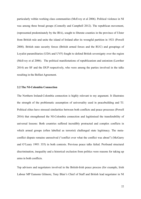particularly within working class communities (McEvoy et al 2006). Political violence in NI was among three broad groups (Connolly and Campbell 2012). The republican movement, (represented predominately by the IRA), sought to liberate counties in the province of Ulster from British rule and unite the island of Ireland after its wrongful partition in 1921 (Powell 2008). British state security forces (British armed forces and the RUC) and groupings of Loyalist paramilitaries (UDA and UVF) fought to defend British sovereignty over the region (McEvoy et al 2006). The political manifestations of republicanism and unionism (Lawther 2014) are SF and the DUP respectively, who were among the parties involved in the talks resulting in the Belfast Agreement.

# <span id="page-22-0"></span>**2.2 The NI-Colombia Connection**

The Northern Ireland-Colombia connection is highly relevant to my argument. It illustrates the strength of the problematic assumption of universality used in peacebuilding and TJ. Political elites have stressed similarities between both conflicts and peace processes (Powell 2016) that strengthened the NI-Colombia connection and legitimised the transferability of universal lessons: Both countries suffered incredibly protracted and complex conflicts in which armed groups (often labelled as terrorist) challenged state legitimacy. The metaconflict dispute remains unresolved ("conflict over what the conflict was about") (McGarry and O'Leary 1995: 355) in both contexts. Previous peace talks failed. Profound structural discrimination, inequality and a historical exclusion from politics were reasons for taking up arms in both conflicts.

Top advisors and negotiators involved in the British-Irish peace process (for example, Irish Labour MP Eamonn Gilmore, Tony Blair's Chief of Staff and British lead negotiator in NI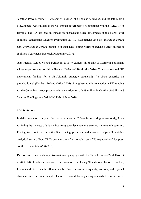Jonathan Powell, former NI Assembly Speaker John Thomas Alderdice, and the late Martin McGuinness) were invited to the Colombian government's negotiations with the FARC-EP in Havana. The BA has had an impact on subsequent peace agreements at the global level (Political Settlements Research Programme 2019). Colombians used its '*nothing is agreed until everything is agreed'* principle in their talks, citing Northern Ireland's direct influence (Political Settlements Research Programme 2019).

Juan Manuel Santos visited Belfast in 2016 to express his thanks to Stormont politicians whose expertise was crucial in Havana (Waltz and Brodinsky 2016). This visit secured UK government funding for a NI-Colombia strategic partnership "to share expertise on peacebuilding" (Northern Ireland Office 2016). Strengthening this connection is UK funding for the Colombian peace process, with a contribution of £28 million in Conflict Stability and Security Funding since 2015 (HC Deb 18 June 2019).

# <span id="page-23-0"></span>**2.3 Limitations**

Initially intent on studying the peace process in Colombia as a single-case study, I am forfeiting the richness of this method for greater leverage in answering my research question. Placing two contexts on a timeline, tracing processes and changes, helps tell a richer analytical story of how TRCs became part of a "complex set of TJ expectations" for postconflict states (Subotić 2009: 3).

Due to space constraints, my dissertation only engages with the "broad contours" (McEvoy et al 2006: 84) of both conflicts and their resolution. By placing NI and Colombia on a timeline, I combine different kinds different levels of socioeconomic inequality, histories, and regional characteristics into one analytical case. To avoid homogenising contexts I choose not to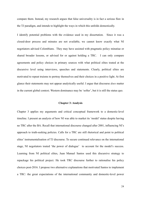compare them. Instead, my research argues that false universality is in fact a serious flaw in the TJ paradigm, and intends to highlight the ways in which this unfolds domestically.

I identify potential problems with the evidence used in my dissertation. Since it was a closed-door process and minutes are not available, we cannot know exactly what NI negotiators advised Colombians. They may have assisted with pragmatic policy minutiae or shared broader lessons, or advised for or against holding a TRC. I can only compare agreements and policy choices in primary sources with what political elites touted at the discursive level using interviews, speeches and statements. Clearly, political elites are motivated to repeat truisms to portray themselves and their choices in a positive light. At first glance their statements may not appear analytically useful. I argue that discourse *does* matter in the current global context. Western dominance may be 'softer', but it is still the status quo.

### <span id="page-24-0"></span>**Chapter 3: Analysis**

Chapter 3 applies my arguments and critical conceptual framework to a domestic-level timeline. I present an analysis of how NI was able to market its 'model' status despite having no TRC after the BA. Recall that international discourse changed after 2001, influencing NI's approach to truth-seeking policies. Calls for a TRC are still rhetorical and point to political elites' instrumentalisation of TJ discourse. To secure continued relevance on the international stage, NI negotiators touted 'the power of dialogue' to account for the model's success. Learning from NI political elites, Juan Manuel Santos used this discursive strategy to repackage his political project. He took TRC discourse further to rationalise his policy choices post-2016. I propose two alternative explanations that motivated Santos to implement a TRC: the great expectations of the international community and domestic-level power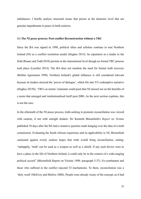imbalances. I briefly analyse structural issues that persist at the domestic level that are genuine impediments to peace in both contexts.

### <span id="page-25-0"></span>**3.1 The NI peace process: Post-conflict Reconstruction without a TRC**

Since the BA was signed in 1998, political elites and scholars continue to tout Northern Ireland (NI) as a conflict resolution model (Hughes 2015). Its reputation as a leader in the field (Ruane and Todd 2010) persists at the international level though no formal TRC process took place (Lawther 2014). The BA does not mention the need for formal truth recovery (Belfast Agreement 1998). Northern Ireland's global influence is still considered relevant because its leaders stressed the 'power of dialogue', which fits into TJ's redemptive narrative (Hughes 2015b). 'TRCs as norms' claimants could posit that NI missed out on the benefits of a norm that emerged and institutionalised itself post-2000. As the next section explains, this is not the case.

In the aftermath of the NI peace process, truth-seeking to promote reconciliation was viewed with caution, if not with outright disdain. Sir Kenneth Bloomfield's *Report on Victims* published 18 days after the BA had a tentative question mark hanging over the idea of a truth commission. Evaluating the South African experience and its applicability to NI, Bloomfield cautioned against overly zealous hopes that truth would bring reconciliation, stating: "unhappily, 'truth' can be used as a weapon as well as a shield. If any such device were to have a place in the life of Northern Ireland, it could only be in the context of a wide-ranging political accord" (Bloomfield Report on Victims 1998: paragraph 5.37). Ex-combatants and those who suffered in the conflict rejected TJ mechanisms. To them, reconciliation was a 'dirty word' (McEvoy and Shirlow 2006). People were already weary of the concept, as it had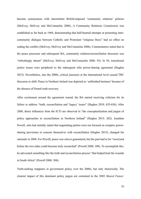become synonymous with intermittent British-imposed 'community relations' policies (McEvoy, McEvoy and McConnachie 2006). A Community Relations Commission was established as far back as 1969, demonstrating that half-hearted attempts at promoting intercommunity dialogue between Catholic and Protestant "religious blocs" had no effect on ending the conflict (McEvoy, McEvoy and McConnachie 2006). Commentators noted that in the peace processes and subsequent BA, community relations/reconciliation discourse was "refreshingly absent" (McEvoy, McEvoy and McConnachie 2006: 93). In NI, transitional justice issues were peripheral to the subsequent elite power-sharing agreement (Hughes 2015). Nevertheless, into the 2000s, critical junctures at the international level caused TRC discourse to shift: Peace in Northern Ireland was depicted as 'unfinished business' because of the absence of formal truth recovery.

After excitement around the agreement waned, the BA started receiving criticism for its failure to address "truth, reconciliation and 'legacy' issues" (Hughes 2018: 635-636). After 2000, direct influences from the ICTJ are observed in "the conceptualization and jargon of policy approaches to reconciliation in Northern Ireland" (Hughes 2015: 262). Jonathan Powell, who had initially stated that negotiating parties were too focused on complex powersharing provisions to concern themselves with reconciliation (Hughes 2015), changed his rationale in 2008. For Powell, peace was *almost* guaranteed, but the past had to be "exorcised before the two sides could become truly reconciled" (Powell 2008: 308). To accomplish this, he advocated something like the truth and reconciliation process "that helped heal the wounds in South Africa" (Powell 2008: 308).

Truth-seeking reappears in government policy over the 2000s, but only rhetorically. The clearest impact of this dominant policy jargon are contained in the 2005 *Shared Future:*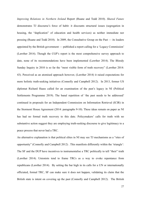*Improving Relations in Northern Ireland* Report (Ruane and Todd 2010). *Shared Future* demonstrates TJ discourse's force of habit: it discounts structural issues (segregation in housing, the "duplication" of education and health services) as neither immediate nor pressing (Ruane and Todd 2010). In 2009, the Consultative Group on the Past — its leaders appointed by the British government — published a report calling for a 'Legacy Commission' (Lawther 2014). Though the CGP's report is the most comprehensive survey approach to date, none of its recommendations have been implemented (Lawther 2014). The Bloody Sunday Inquiry in 2010 is so far the "most visible form of truth recovery" (Lawther 2014: 43). Perceived as an atomised approach however, (Lawther 2014) it raised expectations for more holistic truth-seeking initiatives (Connolly and Campbell 2012). In 2013, former US diplomat Richard Haass called for an examination of the past's legacy in NI (Political Settlements Programme 2019). The banal repetition of 'the past needs to be addressed' continued in proposals for an Independent Commission on Information Retrieval (ICIR) in the Stormont House Agreement (2014: paragraphs 9-10). These ideas remain on paper as NI has had no formal truth recovery to this date. Policymakers' calls for truth with no substantive action suggest they are employing truth-seeking discourse to give legitimacy to a peace process that never had a TRC.

An alternative explanation is that political elites in NI may see TJ mechanisms as a "sites of opportunity" (Connolly and Campbell 2012) . This manifests differently within the 'triangle': The SF and the DUP have incentives to instrumentalise a TRC politically to tell "their" truth (Lawther 2014). Unionists tend to frame TRCs as a way to evoke repentance from republicans (Lawther 2014). By setting the bar high in its calls for a UN or internationally officiated, formal TRC, SF can make sure it does not happen, validating its claim that the British state is intent on covering up the past (Connolly and Campbell 2012). The British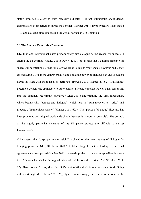state's atomised strategy to truth recovery indicates it is not enthusiastic about deeper examinations of its activities during the conflict (Lawther 2014). Hypocritically, it has touted TRC and dialogue discourse around the world, particularly in Colombia.

### <span id="page-28-0"></span>**3.2 The Model's Exportable Discourse:**

UK, Irish and international elites predominantly cite dialogue as the reason for success in ending the NI conflict (Hughes 2018). Powell (2008: 66) asserts that a guiding principle for successful negotiations is that "it is always right to talk to your enemy however badly they are behaving". His more controversial claim is that the power of dialogue can and should be harnessed even with those labelled 'terrorists' (Powell 2008; Hughes 2015). 'Dialoguing' became a golden rule applicable to other conflict-affected contexts. Powell's key lesson fits into the dominant redemptive narrative (Teitel 2014) underpinning the TRC mechanism, which begins with "contact and dialogue", which lead to "truth recovery to justice" and produce a "harmonious society" (Hughes 2018: 625). The 'power of dialogue' discourse has been promoted and adopted worldwide simply because it is more 'exportable'. 'The boring', or the highly particular elements of the NI peace process are difficult to market internationally.

Critics assert that "disproportionate weight" is placed on the mere *process* of dialogue for bringing peace in NI (LSE Ideas 2011:21). More tangible factors leading to the final agreement are downplayed (Hughes 2015), "over-simplified, or, over-conceptualised in a way that fails to acknowledge the ragged edges of real historical experience" (LSE Ideas 2011: 17). Hard power factors, (like the IRA's *realpolitik* calculations concerning its declining military strength (LSE Ideas 2011: 20)) figured more strongly in their decision to sit at the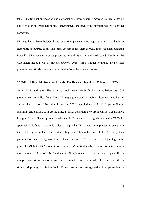table. Institutional engineering and consociational power-sharing between political elites do not fit into an international political environment obsessed with 'inspirational' post-conflict narratives.

NI negotiators have bolstered the country's peacebuilding reputation on the basis of exportable discourse. It has also paid dividends for their careers. Inter Mediate, Jonathan Powell's NGO, advises in peace processes around the world and participated directly in the Colombian negotiations in Havana (Powell 2016). NI's 'Model' branding meant their presence was afforded certain gravitas in the Colombian peace process.

### <span id="page-29-0"></span>**3.3 With a Little Help from our Friends: The Repackaging of two Colombian TRCs**

As in NI, TJ and reconciliation in Colombia were already familiar terms before the 2016 peace agreement called for a TRC. TJ language entered the public discourse in full force during the Álvaro Uribe administration's 2002 negotiations with AUC paramilitaries (Uprimny and Saffon 2008). At the time, a formal transition away from conflict was nowhere in sight. State collusion primarily with the AUC incentivised negotiations and a TRC-like approach. This false transition is a clear example that TRCs were not implemented because of their ethically-infused content. Rather, they were chosen because of the flexibility they permitted (Rowen 2017), enabling a blatant misuse of TJ and a classic 'hijacking' of its principles (Subotić 2009) to suit domestic actors' political goals. Thanks to their ties with those who were close to Uribe (landowning elites, bureaucrats and state agents), paramilitary groups forged strong economic and political ties that were more valuable than their military strength (Uprimny and Saffon 2008). Being pro-state and anti-guerrilla, AUC paramilitaries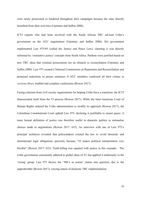were rarely prosecuted or hindered throughout their campaigns because the state directly benefited from their activities (Uprimny and Saffon 2008).

ICTJ experts who had been involved with the South African TRC advised Uribe's government on the AUC negotiations (Uprimny and Saffon 2008)*.* His government implemented Law 975/05 (called the Justice and Peace Law), claiming it was directly informed by 'restorative justice' concepts from South Africa. Pardons were justified based on new TRC ideas that criminal prosecutions are an obstacle to reconciliation (Uprimny and Saffon 2008). Law 975 created a National Commission on Reparation and Reconciliation and promised reductions in prison sentences if AUC members confessed all their crimes in *versions libres*, truthful and complete confessions (Rowen 2017).

Facing criticism from civil society organisations for helping Uribe force a transition, the ICTJ disassociated itself from the TJ process (Rowen 2017). While the Inter-American Court of Human Rights ordered the Uribe administration to modify its approach (Rowen 2017), the Colombian Constitutional Court upheld Law 975, declaring it justifiable to ensure peace. A more lenient definition of justice was therefore useful in domestic politics to rationalise choices made in negotiations (Rowen 2017: 632). An interview with one of Law 975's principal architects revealed that policymakers created the law to avoid domestic and international legal obligations, precisely because "TJ makes political interpretation very flexible" (Rowen 2017: 632). Truth-telling was equated with justice in this example. The Uribe government consistently adhered to global ideas of TJ, but applied it nefariously to the 'wrong' group. Law 975 throws the 'TRCs as norms' claims into question, due to the unpredictable (Rowen 2017), varying nature of domestic TRC implementation.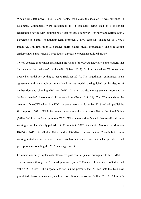When Uribe left power in 2010 and Santos took over, the idea of TJ was tarnished in Colombia. Colombians were accustomed to TJ discourse being used as a rhetorical repackaging device with legitimising effects for those in power (Upriminy and Saffon 2008). Nevertheless, Santos' negotiating team proposed a TRC curiously analogous to Uribe's initiatives. This replication also makes 'norm claims' highly problematic. The next section analyses how Santos used NI negotiators' discourse to push his political project.

TJ was depicted as the most challenging provision of the CFA to negotiate. Santos asserts that "justice was the real crux" of the talks (Silver, 2017). Striking a deal on TJ issues was deemed essential for getting to peace (Bakiner 2019). The negotiations culminated in an agreement with an ambitious transitional justice model, distinguished by its degree of deliberation and planning (Bakiner 2019). In other words, the agreement responded to "today's heavier" international TJ expectations (Brett 2018: 21). The CFA mandates the creation of the CEV, which is a TRC that started work in November 2018 and will publish its final report in 2021. While its nomenclature omits the term reconciliation, Joshi and Quinn (2019) find it is similar to previous TRCs. What is more significant is that an official truthseeking report had already published in Colombia in 2012 (See Centro Nacional de Memoria Histórica 2012). Recall that Uribe held a TRC-like mechanism too. Though both truthseeking initiatives are repeated twice, this has not altered international expectations and perceptions surrounding the 2016 peace agreement.

Colombia currently implements alternative post-conflict justice arrangements for FARC-EP ex-combatants through a "reduced punitive system" (Sánchez León, García-Godos and Vallejo 2016: 259). The negotiations felt a new pressure that NI had not: the ICC now prohibited blanket amnesties (Sánchez León, García-Godos and Vallejo 2016). Colombia's

31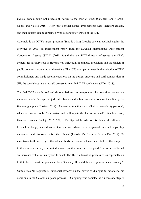judicial system could not process all parties to the conflict either (Sánchez León, García-Godos and Vallejo 2016). 'New' post-conflict justice arrangements were therefore created, and their content can be explained by the strong interference of the ICTJ.

Colombia is the ICTJ's largest program (Subotić 2012). Despite societal backlash against its activities in 2010, an independent report from the Swedish International Development Cooperation Agency (SIDA) (2018) found that the ICTJ directly influenced the CFA's content. Its advisory role in Havana was influential in amnesty provisions and the design of public policies surrounding truth-seeking. The ICTJ even participated in the selection of TRC commissioners and made recommendations on the design, structure and staff composition of JEP, the special courts that would process former FARC-EP combatants (SIDA 2018).

The FARC-EP demobilised and decommissioned its weapons on the condition that certain members would face special judicial tribunals and submit to restrictions on their liberty for five to eight years (Bakiner 2019). Alternative sanctions are called 'accountability pardons', which are meant to be "restorative and will repair the harms inflicted" (Sánchez León, García-Godos and Vallejo 2016: 259). The Special Jurisdiction for Peace, the alternative tribunal in charge, hands down sentences in accordance to the degree of truth and culpability recognised and disclosed before the tribunal (Jurisdicción Especial Para la Paz 2019). To incentivise truth recovery, if the tribunal finds omissions or the accused fail tell the complete truth about abuses they committed, a more punitive sentence is applied. The truth is afforded an increased value in this hybrid tribunal. The JEP's alternative process relies especially on truth to help reconstruct peace and benefit society. How did this idea gain so much currency?

Santos uses NI negotiators' 'universal lessons' on the power of dialogue to rationalise his decisions in the Colombian peace process. Dialoguing was depicted as a necessary step to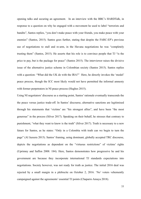opening talks and securing an agreement. In an interview with the BBC's HARDTalk, in response to a question on why he engaged with a movement he used to label "terrorists and bandits", Santos replies, "you don't make peace with your friends, you make peace with your enemies" (Santos, 2015). Santos goes further, stating that despite the FARC-EP's previous use of negotiations to stall and re-arm, in the Havana negotiations he was "completely trusting them" (Santos, 2015). He asserts that his role is to convince people that TJ "is the price to pay, but is the package for peace" (Santos 2015). The interviewer raises the divisive issue of the alternative justice scheme in Colombian society (Santos 2015). Santos replies with a question: "What did the UK do with the IRA?" Here, he directly invokes the 'model' peace process, though the ICC most likely would not have permitted the informal amnesty with former perpetrators in NI peace process (Hughes 2015).

Using NI negotiators' discourse as a starting point, Santos' rationale eventually transcends the the peace versus justice trade-off. In Santos' discourse, alternative sanctions are legitimised through his statements that 'victims' are "his strongest allies", and have been "the most generous" in the process (Silver 2017). Speaking on their behalf, he stresses that contrary to punishment, "what they want to know is the truth" (Silver 2017). Truth is necessary to a new future for Santos, as he states: "Only in a Colombia with truth can we begin to turn the page" (Al Jazeera 2015). Santos' framing, using dominant, globally accepted TRC discourse, depicts the negotiations as dependent on the "virtuous restrictions" of victims' rights (Uprimny and Saffon 2008: 184). Here, Santos demonstrates how progressive he and his government are because they incorporate international TJ standards expectations into negotiations. Society however, was not ready for truth as justice. The initial 2016 deal was rejected by a small margin in a plebiscite on October 2, 2016. 'No' voters vehemently campaigned against the agreements' essential TJ points (Chaparro Amaya 2018).

33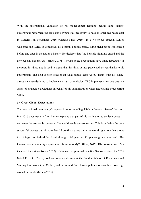With the international validation of NI model-expert learning behind him, Santos' government performed the legislative gymnastics necessary to pass an amended peace deal in Congress in November 2016 (Chagas-Basto 2019). In a victorious speech, Santos welcomes the FARC to democracy as a formal political party, using metaphor to construct a before and after in the nation's history. He declares that "the horrible night has ended and the glorious day has arrived" (Silver 2017). Though peace negotiations have failed repeatedly in the past, this discourse is used to signal that this time, at last, peace had arrived thanks to his government. The next section focuses on what Santos achieves by using 'truth as justice' discourse when deciding to implement a truth commission. TRC implementation was due to a series of strategic calculations on behalf of his administration when negotiating peace (Brett 2018).

# <span id="page-34-0"></span>**3.4 Great Global Expectations:**

The international community's expectations surrounding TRCs influenced Santos' decision. In a 2016 documentary film, Santos explains that part of his motivation to achieve peace no matter the cost — is because "the world needs success stories. This is probably the only successful process out of more than 22 conflicts going on in the world right now that shows that things can indeed be fixed through dialogue. A 50 year-long war *can* end. The international community appreciates this enormously" (Silver, 2017). His construction of an idealised transition (Rowen 2017) held numerous personal benefits. Santos received the 2016 Nobel Prize for Peace, hold an honorary degrees at the London School of Economics and Visiting Professorship at Oxford, and has retired from formal politics to share his knowledge around the world (Mineo 2016).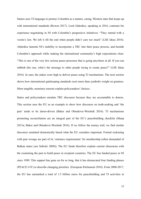Santos uses TJ language to portray Colombia as a mature, caring, Western state that keeps up with international standards (Rowen 2017). Lord Alderdice, speaking in 2016, contrasts his experience negotiating in NI with Colombia's progressive initiatives: "They started with a victim's law. We left it till the end when people didn't care too much" (LSE Ideas 2016). Alderdice laments NI's inability to incorporate a TRC into their peace process, and heralds Colombia's approach while making the international community's high expectations clear: "This is one of the very few serious peace processes that is going anywhere at all. If you can rubbish this one, what's the message to other people trying to create peace?" (LSE Ideas 2016). In sum, the stakes were high to deliver peace using TJ mechanisms. The next section shows how international gatekeeping standards exert more than symbolic weight on grantees. More tangible, monetary reasons explain policymakers' choices.

States and policymakers emulate TRC discourse because they are accountable to donors. This section uses the EU as an example to show how discourse on truth-seeking and 'the past' tends to be donor-driven (Baker and Obradovic-Wochnik 2016). TJ mechanisms promoting reconciliation are an integral part of the EU's peacebuilding checklist (Sharp 2013a; Baker and Obradovic-Wochnik 2016). If we follow the money trail, we find similar discourse emulated domestically based what the EU considers important. Formal reckoning with past wrongs are part of its 'entrance requirements' for membership (often demanded of Balkan states (see Subotić 2009)). The EU funds therefore explain current obsessions with the examining the past to build peace in recipient countries. The EU has funded peace in NI since 1989. This support has gone on for so long, that it has demarcated four funding phases (PEACE I-IV) to describe changing priorities (European Parliament 2018). From 2000-2017, the EU has earmarked a total of 1.5 billion euros for peacebuilding and TJ activities in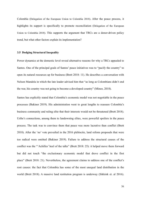Colombia (Delegation of the European Union to Colombia 2018). After the peace process, it highlights its support is specifically to promote reconciliation (Delegation of the European Union to Colombia 2018). This supports the argument that TRCs are a donor-driven policy trend, but what other factors explain its implementation?

### <span id="page-36-0"></span>**3.5 Dodging Structural Inequality**

Power dynamics at the domestic level reveal alternative reasons for why a TRCs appealed to Santos. One of the principal goals of Santos' peace initiatives was to "pacify the country" to open its natural resources up for business (Brett 2018: 11). He describes a conversation with Nelson Mandela in which the late leader advised him that "as long as Colombians didn't end the war, his country was not going to become a developed country" (Mineo, 2018).

Santos has explicitly stated that Colombia's economic model was not negotiable in the peace processes (Bakiner 2019). His administration went to great lengths to reassure Colombia's business community and ruling elite that their interests would not be threatened (Brett 2018). Uribe's connections, among them to landowning elites, were powerful spoilers in the peace process. The task was to convince them that peace was more lucrative than conflict (Brett 2018). After the 'no' vote prevailed in the 2016 plebiscite, land reform proposals that were too radical were omitted (Bakiner 2019). Failure to address the structural causes of the conflict was the "'Achilles' heel of the talks" (Brett 2018: 25): it helped move them forward but did not touch "the exclusionary economic model that drove conflict in the first place" (Brett 2018: 21). Nevertheless, the agreement claims to address one of the conflict's root causes: the fact that Colombia has some of the most unequal land distribution in the world (Brett 2018). A massive land restitution program is underway (Sikkink et. al 2016).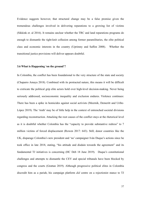Evidence suggests however, that structural change may be a false promise given the tremendous challenges involved in delivering reparations to a growing list of victims (Sikkink et. al 2016). It remains unclear whether the TRC and land reparations programs do enough to dismantle the tight-knit collusion among former paramilitaries, the elite political class and economic interests in the country (Uprimny and Saffon 2008). Whether the transitional justice provisions will deliver appears doubtful.

# <span id="page-37-0"></span>**3.6 What is Happening 'on the ground'?**

In Colombia, the conflict has been foundational to the very structure of the state and society (Chaparro Amaya 2018). Combined with its protracted nature, this means it will be difficult to extricate the political grip elite actors hold over high-level decision-making. Never being seriously addressed, socioeconomic inequality and exclusion endures. Violence continues: There has been a spike in homicides against social activists (Meernik, Demeritt and Uribe-López 2019). The 'truth' may be of little help in the context of entrenched societal divisions regarding reconstruction. Attacking the root causes of the conflict stays at the rhetorical level as it is doubtful whether Colombia has the "capacity to provide substantive redress" to 7 million victims of forced displacement (Rowen 2017: 643). Still, donor countries like the UK, disparage Colombia's new president and 'no' campaigner Iván Duque's actions since he took office in late 2018, stating, "his attitude and disdain towards the agreement" and its fundamental TJ initiatives is concerning (HC Deb 18 June 2019). Duque's constitutional challenges and attempts to dismantle the CEV and special tribunals have been blocked by congress and the courts (Grattan 2019). Although progressive political elites in Colombia discredit him as a pariah, his campaign platform *did* centre on a rejectionist stance to TJ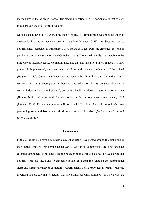mechanisms in the of peace process. His election to office in 2018 demonstrates that society is still split on the issue of truth-seeking.

On the societal level in NI, every time the possibility of a formal truth-seeking mechanism is discussed, divisions and tensions rise to the surface (Hughes 2015b). As discussed above, political elites' hesitancy to implement a TRC means calls for 'truth' are either just rhetoric or political opportunism (Connolly and Campbell 2012). There is still an idea, attributable to the influence of international reconciliation discourse that has taken hold in NI: maybe if a TRC process is implemented, and gets over and done with, societal problems will be solved (Hughes 2015b). Current challenges facing society in NI will require more than truthrecovery. Structural segregation in housing and education is the greatest obstacle to reconciliation and a 'shared society', but political will to address structure is non-existent (Hughes 2018). NI is in political crisis, not having had a government since January 2017 (Lawther 2018). If the crisis is eventually resolved, NI policymakers will most likely keep postponing structural issues with allusions to quick policy fixes (McEvoy, McEvoy and McConnachie 2006).

# <span id="page-38-0"></span>**Conclusions**

In this dissertation, I have discounted claims that TRCs have spread around the globe due to their ethical content. Developing an answer to why truth commissions are considered an essential component of building a lasting peace in post-conflict societies, I have shown that political elites use TRCs and TJ discourse to showcase their relevance on the international stage and depict themselves as mature Western states. I have provided alternative reasons, grounded in post-colonial, structural and universalist scholarly critiques, for why TRCs are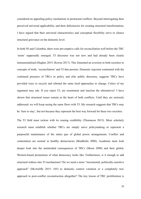considered an appealing policy mechanism in protracted conflicts. Beyond interrogating their perceived universal applicability, and their deficiencies for creating structural transformation, I have argued that their universal characteristics and conceptual flexibility serve to silence structural grievance on the domestic level.

In both NI and Colombia, there were pre-emptive calls for reconciliation well before the TRC 'norm' supposedly emerged. TJ discourse was not new and had already been clearly instrumentalised (Hughes 2015; Rowen 2017). This fomented an aversion in both societies to concepts of truth, 'reconciliation' and TJ that persists. Domestic rejection contrasted with the continued presence of TRCs in policy and elite public discourse, suggests TRCs have provided ways to recycle and rebrand the same tired approaches to change. Critics of my argument may ask: If you reject TJ, are resentment and inaction the alternatives? I have shown that structural issues remain at the heart of both conflicts. Until they are seriously addressed, we will keep seeing the same flaws with TJ. My research suggests that TRCs may be 'here to stay', but not because they represent the best way forward for these two societies.

The TJ field must reckon with its waning credibility (Thomason 2015). More scholarly research must establish whether TRCs are simply naive policymaking or represent a purposeful maintenance of the status quo of global power arrangements. Conflict and contestation are normal in healthy democracies (Brudholm 2008). Academia must look deeper look into the unintended consequences of TRCs (Moon 2008) and their global, Western-based promotions of what democracy looks like. Furthermore, is it enough to add structural redress into TJ mechanisms? Do we need a more "incremental, politically-sensitive approach" (McAuliffe 2015: 105) to domestic context variation or a completely new approach to post-conflict reconstruction altogether? The key lesson of TRC proliferation is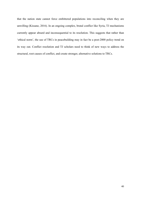that the nation state cannot force embittered populations into reconciling when they are unwilling (Kissane, 2016). In an ongoing complex, brutal conflict like Syria, TJ mechanisms currently appear absurd and inconsequential to its resolution. This suggests that rather than 'ethical norm', the use of TRCs in peacebuilding may in fact be a post-2000 policy trend on its way out. Conflict resolution and TJ scholars need to think of new ways to address the structural, root causes of conflict, and create stronger, alternative solutions to TRCs.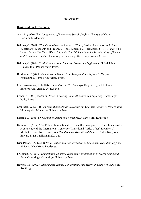# <span id="page-41-0"></span>**Bibliography**

### **Books and Book Chapters:**

- Azar, E. (1990) *The Management of Protracted Social Conflict: Theory and Cases*. Dartmouth: Aldershot.
- Bakiner, O. (2019) 'The Comprehensive System of Truth, Justice, Reparation and Non-Repetition: Precedents and Prospects'. (eds) [Meernik](https://www.cambridge.org/core/search?filters%255BauthorTerms%255D=James%2520Meernik&eventCode=SE-AU), J. , [DeMeritt,](https://www.cambridge.org/core/search?filters%255BauthorTerms%255D=Jacqueline%2520H.%2520R.%2520DeMeritt&eventCode=SE-AU) J. H. R., and Uribe-López, M. *As War Ends: What Colombia Can Tell Us About the Sustainability of Peace and Transitional Justice.* Cambridge**:** Cambridge University Press: 230–248.
- Bakiner, O. (2016) *Truth Commissions: Memory, Power and Legitimacy.* Philadelphia: University of Pennsylvania Press.
- Brudholm, T. (2008) *Resentment's Virtue: Jean Amery and the Refusal to Forgive.*  Philadelphia: Temple University Press.
- Chaparro Amaya, R. (2018) *La Cuestión del Ser Enemigo*. Bogotá: Siglo del Hombre Editores, Universidad del Rosario.
- Cohen, S. (2001) *[States of Denial: Knowing about Atrocities and Suffering](https://www.amazon.com/States-Denial-Knowing-Atrocities-Suffering/dp/0745623921).* Cambridge: Polity Press.
- Coulthard, G. (2014) *Red Skin, White Masks: Rejecting the Colonial Politics of Recognition.*  Minneapolis: Minnesota University Press.
- Derrida, J. (2001) *On Cosmopolitanism and Forgiveness*. New York: Routledge.
- Dezalay, S. (2017) 'The Role of International NGOs in the Emergence of Transitional Justice: A case study of the International Center for Transitional Justice'. (eds) Lawther, C., Moffett, L., Jacobs, D. *Research Handbook on Transitional Justice*. United Kingdom: Edward Elgar Publishing: 202–220.
- Díaz Pabón, F.A. (2018) *Truth, Justice and Reconciliation in Colombia: Transitioning from Violence.* New York: Routledge.
- Friedman, R. (2017) C*ompeting memories: Truth and Reconciliation in Sierra Leone and Peru*. Cambridge: Cambridge University Press.
- Hayner, P.B. (2002) *Unspeakable Truths: Confronting State Terror and Atrocity*. New York: Routledge.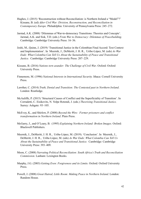- Hughes, J. (2015) 'Reconstruction without Reconciliation: is Northern Ireland a "Model"?' Kissane, B. (ed) *After Civil War: Division, Reconstruction, and Reconciliation in Contemporary Europe.* Philadelphia: University of Pennsylvania Press: 245–272.
- Jarstad, A.K. (2008) 'Dilemmas of War-to-democracy Transitions: Theories and Concepts'. Jarstad, A.K. and Sisk, T.D. (eds.) *From War to Democracy: Dilemmas of Peacebuilding*. Cambridge: Cambridge University Press: 16–36.
- Joshi, M., Quinn, J. (2019) 'Transitional Justice in the Colombian Final Accord: Text Context and Implementation'. In [Meernik,](https://www.cambridge.org/core/search?filters%255BauthorTerms%255D=James%2520Meernik&eventCode=SE-AU) J., [DeMeritt,](https://www.cambridge.org/core/search?filters%255BauthorTerms%255D=Jacqueline%2520H.%2520R.%2520DeMeritt&eventCode=SE-AU) J. H. R., Uribe-López, M. (eds) *As War Ends: What Colombia Can Tell Us About the Sustainability of Peace and Transitional Justice.* Cambridge: Cambridge University Press: 207–229.
- Kissane, B. (2016) *Nations torn asunder: The Challenge of Civil War*. Oxford: Oxford University Press.
- Finnemore, M. (1996) *National Interests in International Security.* Ithaca: Cornell University Press.
- Lawther, C. (2014) *Truth, Denial and Transition: The Contested past in Northern Ireland*. London: Routledge.
- McAuliffe, P. (2015) 'Structural Causes of Conflict and the Superficiality of Transition'. In Corradetti, C. Eisikovits, N. Volpe Rotondi, J. (eds.) *Theorizing Transitional Justice.* Surrey: Ashgate: 93–105.
- McEvoy, K., and Shirlow, P. (2008) *Beyond the Wire: Former prisoners and conflict transformation in Northern Ireland*. Pluto Press.
- McGarry, J., and O'Leary, B. (1995) *Explaining Northern Ireland: Broken Images.* Oxford: Blackwell Publishers.
- [Meernik,](https://www.cambridge.org/core/search?filters%255BauthorTerms%255D=James%2520Meernik&eventCode=SE-AU) J., [DeMeritt](https://www.cambridge.org/core/search?filters%255BauthorTerms%255D=Jacqueline%2520H.%2520R.%2520DeMeritt&eventCode=SE-AU), J. H. R., Uribe-López, M. (2019). 'Conclusion'. In [Meernik,](https://www.cambridge.org/core/search?filters%255BauthorTerms%255D=James%2520Meernik&eventCode=SE-AU) J., [DeMeritt,](https://www.cambridge.org/core/search?filters%255BauthorTerms%255D=Jacqueline%2520H.%2520R.%2520DeMeritt&eventCode=SE-AU) J. H. R., Uribe-López, M. (eds) *As War Ends: What Colombia Can Tell Us About the Sustainability of Peace and Transitional Justice.* Cambridge: Cambridge University Press: 393–409.
- Moon, C. (2008) *Narrating Political Reconciliation: South Africa's Truth and Reconciliation Commission.* Lanham: Lexington Books.
- Murphy, J.G. (2003) *Getting Even: Forgiveness and its Limits.* Oxford: Oxford University Press.
- Powell, J. (2008) *Great Hatred, Little Room: Making Peace in Northern Ireland*. London: Random House.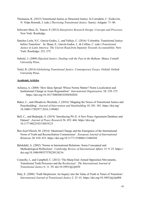- Thomason, K. (2015) Transitional Justice as Structural Justice. In Corradetti, C. Eisikovits, N. Volpe Rotondi, J. (eds.) *Theorizing Transitional Justice.* Surrey: Ashgate: 71–80.
- Schwartz-Shea, D., Yanow, P. (2012) *Interpretive Research Design: Concepts and Processes.* New York: Routledge.
- Sánchez León, N.C. García-Godos, J., and Vallejo, C. (2016) 'Colombia: Transitional Justice before Transition'. In: Skaar, E., García-Godos, J., & Collins, C. (eds.) *Transitional Justice in Latin America: The Uneven Road from Impunity Towards Accountability.* New York: Routledge: 252–275.
- Subotić, J. (2009) *Hijacked Justice: Dealing with the Past in the Balkans.* Ithaca: Cornell University Press.
- Teitel, R. (2014) *Globalizing Transitional Justice: Contemporary Essays.* Oxford: Oxford University Press.

# **Academic Articles**

- Acharya, A. (2004) 'How Ideas Spread: Whose Norms Matter? Norm Localization and Institutional Change in Asian Regionalism'. *International Organization,* 58: 239–275 <https://doi.org/10.1017/S0020818304582024>
- Baker, C., and Obradovic-Wochnik, J. (2016) 'Mapping the Nexus of Transitional Justice and Peacebuilding'. *Journal of Intervention and Statebuilding* 10: 281–301. [https://doi.org/](https://doi.org/10.1080/17502977.2016.1199483) [10.1080/17502977.2016.1199483](https://doi.org/10.1080/17502977.2016.1199483)
- Bell, C., and Badanjak, S. (2019) 'Introducing PA-X: A New Peace Agreement Database and Dataset'. *Journal of Peace Research* 56: 452–466. [https://doi.org/](https://doi.org/10.1177/0022343318819123) [10.1177/0022343318819123](https://doi.org/10.1177/0022343318819123)
- Ben-Josef Hirsch, M. (2014) 'Ideational Change and the Emergence of the International Norm of Truth and Reconciliation Commissions'. *European Journal of International Relations* 20: 810–833.<https://doi.org/10.1177/1354066113484344>
- Björkdahl, A. (2002) 'Norms in International Relations: Some Conceptual and Methodological Reflections'. *Cambridge Review of International Affairs* 15: 9–23. [https://](https://doi.org/10.1080/09557570220126216) [doi.org/10.1080/09557570220126216](https://doi.org/10.1080/09557570220126216)
- Connolly, I., and Campbell, C. (2012) 'The Sharp End: Armed Opposition Movements, Transitional Truth Processes and the *Rechtsstaat*'. *The International Journal of Transitional Justice* 6: 11–39. doi:10.1093/ijtj/ijr030
- Daly, E. (2008) 'Truth Skepticism: An Inquiry into the Value of Truth in Times of Transition'. *International Journal of Transitional Justice* 2: 23–41[. https://doi.org/10.1093/ijtj/ijn004](https://doi.org/10.1093/ijtj/ijn004)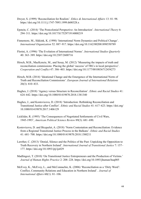- Dwyer, S. (1999) 'Reconciliation for Realists'. *Ethics & International Affairs* 13: 81–98[.](https://doi.org/10.1111/j.1747-7093.1999.tb00328.x)  <https://doi.org/10.1111/j.1747-7093.1999.tb00328.x>
- Epstein, C. (2014) 'The Postcolonial Perspective: An Introduction'. *International Theory* 6: 294–311.<https://doi.org/10.1017/S1752971914000219>
- Finnemore, M., Sikkink, K. (1998) 'International Norm Dynamics and Political Change'. *International Organization* 52: 887–917[. https://doi.org/10.1162/002081898550789](https://doi.org/10.1162/002081898550789)
- Florini, A. (1996) 'The Evolution of International Norms'. *International Studies Quarterly* 40: 363–389.<https://doi.org/10.2307/2600716>
- Hirsch, M.B., MacKenzie, M., and Sesay, M. (2012) 'Measuring the impacts of truth and reconciliation commissions: Placing the global 'success' of TRCs in local perspective'. *Cooperation and Conflict* 47: 386–403.<https://doi.org/10.1177/0010836712454273>
- Hirsch, M.B. (2014) 'Ideational Change and the Emergence of the International Norm of Truth and Reconciliation Commissions'. *European Journal of International Relations* 20(3): 810–833.
- Hughes, J. (2018) 'Agency versus Structure in Reconciliation'. *Ethnic and Racial Studies* 41: 624–642[. https://doi.org/10.1080/01419870.2018.1381340](https://doi.org/10.1080/01419870.2018.1381340)
- Hughes, J., and Kostovicova, D. (2018) 'Introduction: Rethinking Reconciliation and Transitional Justice after Conflict'. *Ethnic and Racial Studies* 41: 617–623. [https://doi.org/](https://doi.org/10.1080/01419870.2017.1406129) [10.1080/01419870.2017.1406129](https://doi.org/10.1080/01419870.2017.1406129)
- Licklider, R. (1995) 'The Consequences of Negotiated Settlements of Civil Wars, 1945-1993', *American Political Science Review* 89(3): 681–690.
- Kostovicova, D. and Bicquelet, A. (2018) 'Norm Contestation and Reconciliation: Evidence from a Regional Transitional Justice Process in the Balkans'. *Ethnic and Racial Studies* 41: 681–700.<https://doi.org/10.1080/01419870.2018.1380211>
- Lawther, C. (2013) 'Denial, Silence and the Politics of the Past: Unpicking the Opposition to Truth Recovery in Northern Ireland'. *International Journal of Transitional Justice* 7: 157– 177.<https://doi.org/10.1093/ijtj/ijs029>
- Madlingozi, T. (2010) 'On Transitional Justice Entrepreneurs and the Production of Victims.' *Journal of Human Rights Practice* 2: 208–228.<https://doi.org/10.1093/jhuman/huq005>
- McEvoy, K., McEvoy, L., and McConnachie, K. (2006) 'Reconciliation as a 'Dirty Word': Conflict, Community Relations and Education in Northern Ireland'. *Journal of International Affairs* 60(1): 81–106.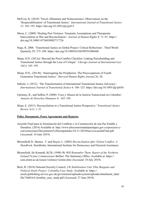- McEvoy, K. (2018) 'Travel, Dilemmas and Nonrecurrence: Observations on the 'Respectabilisation' of Transitional Justice'. *International Journal of Transitional Justice* 12: 185–193.<https://doi.org/10.1093/ijtj/ijy013>
- Moon, C. (2009) 'Healing Past Violence: Traumatic Assumptions and Therapeutic Interventions in War and Reconciliation'. *Journal of Human Rights* 8: 71–91. [https://](https://doi.org/10.1080/14754830902717726) [doi.org/10.1080/14754830902717726](https://doi.org/10.1080/14754830902717726)
- Nagy, R. 2008. 'Transitional Justice as Global Project: Critical Reflections'. Third World Quarterly 29: 275–289[. https://doi.org/10.1080/01436590701806848](https://doi.org/10.1080/01436590701806848)
- Sharp, D.N. (2013a) 'Beyond the Post-Conflict Checklist: Linking Peacebuilding and Transitional Justice through the Lens of Critique'. *Chicago Journal of International Law* 14(1): 165–195.
- Sharp, D.N., (2013b). 'Interrogating the Peripheries: The Preoccupations of Fourth Generation Transitional Justice'*. Harvard Human Rights Journal* 26, 30.
- Subotić, J. (2012). 'The Transformation of International Transitional Justice Advocacy'. *International Journal of Transitional Justice* 6: 106–125[. https://doi.org/10.1093/ijtj/ijr036](https://doi.org/10.1093/ijtj/ijr036)
- Uprimny, R., and Saffon, P. (2008) 'Usos y Abusos de la Justicia Transicional en Colombia'. *Anuario de Derechos Humanos* 4: 165–195.
- Skaar, E. (2013) 'Reconciliation in a Transitional Justice Perspective.' *Transitional Justice Review* 1(1): 1–51

# **Policy Documents, Peace Agreements and Reports:**

- Acuerdo Final para la Terminación del Conflicto y la Construcción de una Paz Estable y Duradera. (2016) Available at: [http://www.altocomisionadoparalapaz.gov.co/procesos-y](http://www.altocomisionadoparalapaz.gov.co/procesos-y-conversaciones/Documentos%2520compartidos/24-11-2016NuevoAcuerdoFinal.pdf)[conversaciones/Documentos%20compartidos/24-11-2016NuevoAcuerdoFinal.pdf](http://www.altocomisionadoparalapaz.gov.co/procesos-y-conversaciones/Documentos%2520compartidos/24-11-2016NuevoAcuerdoFinal.pdf)  (Accessed: 10 June 2019).
- Bloomfield D., Barnes, T. and Huyse, L. (2003) *Reconciliation after Violent Conflict: A Handbook*. Stockholm: International Institute for Democracy and Electoral Assistance.
- Bloomfield, Sir Kenneth, KCB. (1998) *We Will Remember Them*. *Report of the Northern Ireland Victims Commissioner* Belfast: The Stationary Office. Available at: [https://](https://cain.ulster.ac.uk/issues/violence/victims.htm) [cain.ulster.ac.uk/issues/violence/victims.htm](https://cain.ulster.ac.uk/issues/violence/victims.htm) (Accessed: 10 July 2019).
- Brett, R. (2018) National Security Council, *UK Stabilisation Unit, Elite Bargains and Political Deals Project: Colombia Case Study*. Available at: [https://](https://assets.publishing.service.gov.uk/government/uploads/system/uploads/attachment_data/file/766016/Colombia_case_study.pdf) [assets.publishing.service.gov.uk/government/uploads/system/uploads/attachment\\_data/](https://assets.publishing.service.gov.uk/government/uploads/system/uploads/attachment_data/file/766016/Colombia_case_study.pdf) [file/766016/Colombia\\_case\\_study.pdf](https://assets.publishing.service.gov.uk/government/uploads/system/uploads/attachment_data/file/766016/Colombia_case_study.pdf) (Accessed: 27 June 2019).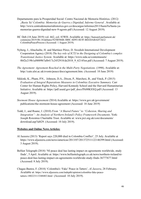- [Departamento para la Prosperidad Social:](http://www.prosperidadsocial.gov.co/Paginas/Inicio.aspx) Centro Nacional de Memoria Histórica. (2012*) ¡Basta Ya! Colombia: Memorias de Guerra y Dignidad, Informe General . Available at:* [http://www.centrodememoriahistorica.gov.co/descargas/informes2013/bastaYa/basta-ya](http://www.centrodememoriahistorica.gov.co/descargas/informes2013/bastaYa/basta-ya-memorias-guerra-dignidad-new-9-agosto.pdf)[memorias-guerra-dignidad-new-9-agosto.pdf](http://www.centrodememoriahistorica.gov.co/descargas/informes2013/bastaYa/basta-ya-memorias-guerra-dignidad-new-9-agosto.pdf) (Accessed: 12 August 2019).
- HC Deb (18 June 2019) vol. 662, col. 83WH. Available at: [https://hansard.parliament.uk/](https://hansard.parliament.uk/commons/2019-06-18/debates/925B586B-3B0C-4D93-8E5F-BD2DABAD7AE2/ColombiaPeaceProcess) [commons/2019-06-18/debates/925B586B-3B0C-4D93-8E5F-BD2DABAD7AE2/](https://hansard.parliament.uk/commons/2019-06-18/debates/925B586B-3B0C-4D93-8E5F-BD2DABAD7AE2/ColombiaPeaceProcess) [ColombiaPeaceProcess](https://hansard.parliament.uk/commons/2019-06-18/debates/925B586B-3B0C-4D93-8E5F-BD2DABAD7AE2/ColombiaPeaceProcess) (Accessed: 1 August 2019).
- Nyberg, J., Abuchaibe, H. and Martínez Pérez, D. Swedish International Development Cooperation Agency (2018) *The key role of ICTJ in the Designing of Colombia's complex Transitional Justice System.* Available at: [https://www.sida.se/contentassets/](https://www.sida.se/contentassets/8bf2e219b1af4009b7afb417c2452918/de2018_9_62145en.pdf) [8bf2e219b1af4009b7afb417c2452918/de2018\\_9\\_62145en.pdf](https://www.sida.se/contentassets/8bf2e219b1af4009b7afb417c2452918/de2018_9_62145en.pdf) (Accessed: 7 August 2019).
- *The Agreement: Agreement Reached in the Multi-Party Negotiations.* (1998). Available at: http://cain.ulst.ac.uk/events/peace/docs/agreement.htm. (Accessed: 10 June 2019)
- Sikkink, K., Pham, P.N., Johnson, D.A., Dixon, P., Marchesi, B., and Vinck, P. (2015) *Evaluation of Integral Reparations Measures in Colombia***:** *Executive Summary.* Carr Center for Human Rights Policy, Harvard Kennedy School and the Harvard Humanitarian Initiative. Available at: [https://pdf.usaid.gov/pdf\\_docs/PA00KSXQ.pdf](https://pdf.usaid.gov/pdf_docs/PA00KSXQ.pdf) (Accessed: 13 August 2019).
- *Stormont House Agreement (*2014) Available at: [https://www.gov.uk/government/](https://www.gov.uk/government/publications/the-stormont-house-agreement) [publications/the-stormont-house-agreement](https://www.gov.uk/government/publications/the-stormont-house-agreement) (Accessed: 18 June 2019)
- Todd, J., and Ruane, J. (2010) *From ''A Shared Future'' to ''Cohesion, Sharing and Integration'': An Analysis of Northern Ireland's Policy Framework Documents*. York: Joseph Rowntree Charitable Trust. Available at: www.jrct.org.uk/core/documents/ download.asp?id429. (Accessed: 10 July 2019).

# **Websites and Online News Articles:**

- Al Jazeera (2013) 'Report says 220,000 died in Colombia Conflict', 25 July. Available at <https://www.aljazeera.com/news/americas/2013/07/201372511122146399.html>(Accessed: 3 August 2019).
- Belfast Telegraph (2018) 'NI peace deal has lasting impact on agreements worldwide, study finds', 5 April. Available at: [https://www.belfasttelegraph.co.uk/news/northern-ireland/ni](https://www.belfasttelegraph.co.uk/news/northern-ireland/ni-peace-deal-has-lasting-impact-on-agreements-worldwide-study-finds-36777677.html)[peace-deal-has-lasting-impact-on-agreements-worldwide-study-finds-36777677.html](https://www.belfasttelegraph.co.uk/news/northern-ireland/ni-peace-deal-has-lasting-impact-on-agreements-worldwide-study-finds-36777677.html)  (Accessed: 8 July 2019).
- Chagas-Bastos, F. (2018) 'Colombia's 'Fake' Peace in Tatters', *Al Jazeera*, 28 February. Available at: [https://www.aljazeera.com/indepth/opinion/colombia-fake-peace](https://www.aljazeera.com/indepth/opinion/colombia-fake-peace-tatters-180223113348483.html)[tatters-180223113348483.html](https://www.aljazeera.com/indepth/opinion/colombia-fake-peace-tatters-180223113348483.html) (Accessed: 10 July 2019).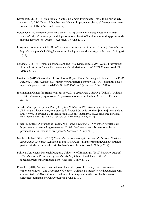- Davenport, M. (2016) 'Juan Manuel Santos: Colombia President to Travel to NI during UK state visit'*, BBC News*, 19 October. Available at: [https://www.bbc.co.uk/news/uk-northern](https://www.bbc.co.uk/news/uk-northern-ireland-37709077)[ireland-37709077](https://www.bbc.co.uk/news/uk-northern-ireland-37709077) (Accessed: June 17).
- Delegation of the European Union to Colombia. (2018) *Colombia: Building Peace and Moving Forward*. [https://eeas.europa.eu/delegations/colombia/45636/colombia-building-peace-and](https://eeas.europa.eu/delegations/colombia/45636/colombia-building-peace-and-moving-forward_en)[moving-forward\\_en](https://eeas.europa.eu/delegations/colombia/45636/colombia-building-peace-and-moving-forward_en) [Online]. (Accessed: 15 June 2019).
- European Commission (2018). *EU Funding in Northern Ireland.* [Online] *Available at:*  [https://ec.europa.eu/unitedkingdom/news/eu-funding-northern-ireland-0\\_en](https://ec.europa.eu/unitedkingdom/news/eu-funding-northern-ireland-0_en) (Accessed 3 August 2019).
- Gardner, F. (2016) 'Colombia connection: The UK's Discreet Role' *BBC News*, 1 November. Available at: <https://www.bbc.co.uk/news/world-latin-america-37826823>(Accessed: 22 March 2019).
- Grattan, S. (2019) 'Colombia's Lower House Rejects Duque's Changes to Peace Tribunal'*, Al Jazeera*, 9 April. Available at: [https://www.aljazeera.com/news/2019/04/colombia-house](https://www.aljazeera.com/news/2019/04/colombia-house-rejects-duque-peace-tribunal-190409184929366.html)[rejects-duque-peace-tribunal-190409184929366.html](https://www.aljazeera.com/news/2019/04/colombia-house-rejects-duque-peace-tribunal-190409184929366.html) (Accessed: 5 June 2019).
- International Center for Transitional Justice (2019). *Americas: Colombia* [Online]. Available at: <https://www.ictj.org/our-work/regions-and-countries/colombia>(Accessed: 15 June 2019).
- Jurisdicción Especial para la Paz. (2019) *Ley Estatuaria JEP: Todo lo que debe saber. La JEP impondrá sanciones privativas de la libertad hasta de 20 años.* [Online]. Available at: [https://www.jep.gov.co/Sala-de-Prensa/Paginas/La-JEP-impondr%C3%A1-sanciones-privativas](https://www.jep.gov.co/Sala-de-Prensa/Paginas/La-JEP-impondr%C3%A1-sanciones-privativas-de-la-libertad-hasta-de-20-a%C3%B1os.aspx)[de-la-libertad-hasta-de-20-a%C3%B1os.aspx](https://www.jep.gov.co/Sala-de-Prensa/Paginas/La-JEP-impondr%C3%A1-sanciones-privativas-de-la-libertad-hasta-de-20-a%C3%B1os.aspx) (Accessed: 15 July 2019).
- Mineo, L. (2018) 'A Prophet of Peace', *The Harvard Gazette,* 21 November. Available at: [https://news.harvard.edu/gazette/story/2018/11/back-at-harvard-former-colombian](https://news.harvard.edu/gazette/story/2018/11/back-at-harvard-former-colombian-president-shares-lessons-of-war-peace/)[president-shares-lessons-of-war-peace/](https://news.harvard.edu/gazette/story/2018/11/back-at-harvard-former-colombian-president-shares-lessons-of-war-peace/) (Accessed: 15 July 2019).
- Northern Ireland Office. (2016) *Press release: New strategic partnership between Northern Ireland and Colombia.* Available at: [https://www.gov.uk/government/news/new-strategic](https://www.gov.uk/government/news/new-strategic-partnership-between-northern-ireland-and-colombia)[partnership-between-northern-ireland-and-colombia](https://www.gov.uk/government/news/new-strategic-partnership-between-northern-ireland-and-colombia) (Accessed: 21 July 2019).
- Political Settlements Research Program, University of Edinburgh. (2019) *Northern Ireland: What the Peace Process has given the World* [Online]. Available at: [https://](https://nipeaceagreements.wordpress.com) [nipeaceagreements.wordpress.com](https://nipeaceagreements.wordpress.com) (Accessed: 9 July 2019).
- Powell, J. (2016) 'A peace deal in Colombia is still possible as my Northern Ireland experience shows'. *The Guardian*, 6 October. Available at: [https://www.theguardian.com/](https://www.theguardian.com/commentisfree/2016/oct/06/referendum-colombia-peace-northern-ireland-havana-agreement-jonathan-powell) [commentisfree/2016/oct/06/referendum-colombia-peace-northern-ireland-havana](https://www.theguardian.com/commentisfree/2016/oct/06/referendum-colombia-peace-northern-ireland-havana-agreement-jonathan-powell)[agreement-jonathan-powell](https://www.theguardian.com/commentisfree/2016/oct/06/referendum-colombia-peace-northern-ireland-havana-agreement-jonathan-powell) (Accessed: 2 June 2019).